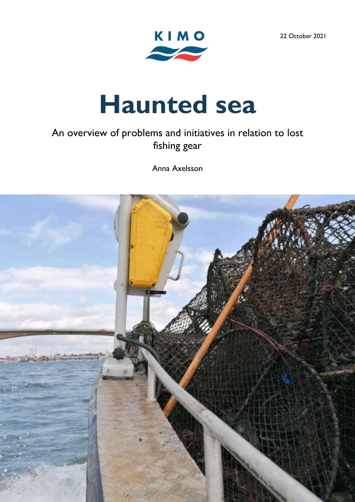22 October 2021



# **Haunted sea**

# An overview of problems and initiatives in relation to lost fishing gear

Anna Axelsson

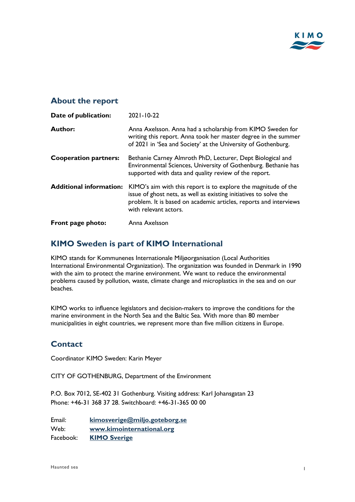

# **About the report**

| Date of publication:           | $2021 - 10 - 22$                                                                                                                                                                                                                  |
|--------------------------------|-----------------------------------------------------------------------------------------------------------------------------------------------------------------------------------------------------------------------------------|
| Author:                        | Anna Axelsson. Anna had a scholarship from KIMO Sweden for<br>writing this report. Anna took her master degree in the summer<br>of 2021 in 'Sea and Society' at the University of Gothenburg.                                     |
| <b>Cooperation partners:</b>   | Bethanie Carney Almroth PhD, Lecturer, Dept Biological and<br>Environmental Sciences, University of Gothenburg. Bethanie has<br>supported with data and quality review of the report.                                             |
| <b>Additional information:</b> | KIMO's aim with this report is to explore the magnitude of the<br>issue of ghost nets, as well as existing initiatives to solve the<br>problem. It is based on academic articles, reports and interviews<br>with relevant actors. |
| Front page photo:              | Anna Axelsson                                                                                                                                                                                                                     |

# **KIMO Sweden is part of KIMO International**

KIMO stands for Kommunenes Internationale Miljøorganisation (Local Authorities International Environmental Organization). The organization was founded in Denmark in 1990 with the aim to protect the marine environment. We want to reduce the environmental problems caused by pollution, waste, climate change and microplastics in the sea and on our beaches.

KIMO works to influence legislators and decision-makers to improve the conditions for the marine environment in the North Sea and the Baltic Sea. With more than 80 member municipalities in eight countries, we represent more than five million citizens in Europe.

# **Contact**

Coordinator KIMO Sweden: Karin Meyer

CITY OF GOTHENBURG, Department of the Environment

P.O. Box 7012, SE-402 31 Gothenburg. Visiting address: Karl Johansgatan 23 Phone: +46-31 368 37 28. Switchboard: +46-31-365 00 00

Email: **[kimosverige@miljo.goteborg.se](mailto:kimosverige@miljo.goteborg.se)** Web: **[www.kimointernational.org](http://www.kimointernational.org/)** Facebook: **[KIMO Sverige](https://www.facebook.com/KIMOSverige)**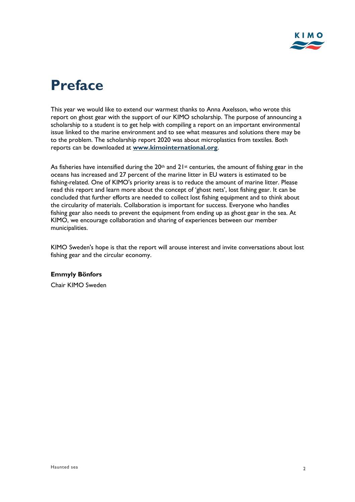

# **Preface**

This year we would like to extend our warmest thanks to Anna Axelsson, who wrote this report on ghost gear with the support of our KIMO scholarship. The purpose of announcing a scholarship to a student is to get help with compiling a report on an important environmental issue linked to the marine environment and to see what measures and solutions there may be to the problem. The scholarship report 2020 was about microplastics from textiles. Both reports can be downloaded at **[www.kimointernational.org](http://www.kimointernational.org/)**.

As fisheries have intensified during the 20<sup>th</sup> and  $21^{st}$  centuries, the amount of fishing gear in the oceans has increased and 27 percent of the marine litter in EU waters is estimated to be fishing-related. One of KIMO's priority areas is to reduce the amount of marine litter. Please read this report and learn more about the concept of 'ghost nets', lost fishing gear. It can be concluded that further efforts are needed to collect lost fishing equipment and to think about the circularity of materials. Collaboration is important for success. Everyone who handles fishing gear also needs to prevent the equipment from ending up as ghost gear in the sea. At KIMO, we encourage collaboration and sharing of experiences between our member municipalities.

KIMO Sweden's hope is that the report will arouse interest and invite conversations about lost fishing gear and the circular economy.

#### **Emmyly Bönfors**

Chair KIMO Sweden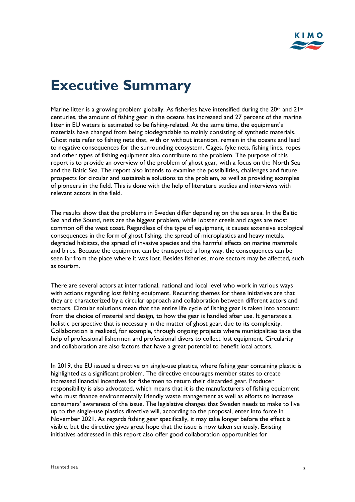# **Executive Summary**

Marine litter is a growing problem globally. As fisheries have intensified during the 20<sup>th</sup> and 21<sup>st</sup> centuries, the amount of fishing gear in the oceans has increased and 27 percent of the marine litter in EU waters is estimated to be fishing-related. At the same time, the equipment's materials have changed from being biodegradable to mainly consisting of synthetic materials. Ghost nets refer to fishing nets that, with or without intention, remain in the oceans and lead to negative consequences for the surrounding ecosystem. Cages, fyke nets, fishing lines, ropes and other types of fishing equipment also contribute to the problem. The purpose of this report is to provide an overview of the problem of ghost gear, with a focus on the North Sea and the Baltic Sea. The report also intends to examine the possibilities, challenges and future prospects for circular and sustainable solutions to the problem, as well as providing examples of pioneers in the field. This is done with the help of literature studies and interviews with relevant actors in the field.

The results show that the problems in Sweden differ depending on the sea area. In the Baltic Sea and the Sound, nets are the biggest problem, while lobster creels and cages are most common off the west coast. Regardless of the type of equipment, it causes extensive ecological consequences in the form of ghost fishing, the spread of microplastics and heavy metals, degraded habitats, the spread of invasive species and the harmful effects on marine mammals and birds. Because the equipment can be transported a long way, the consequences can be seen far from the place where it was lost. Besides fisheries, more sectors may be affected, such as tourism.

There are several actors at international, national and local level who work in various ways with actions regarding lost fishing equipment. Recurring themes for these initiatives are that they are characterized by a circular approach and collaboration between different actors and sectors. Circular solutions mean that the entire life cycle of fishing gear is taken into account: from the choice of material and design, to how the gear is handled after use. It generates a holistic perspective that is necessary in the matter of ghost gear, due to its complexity. Collaboration is realized, for example, through ongoing projects where municipalities take the help of professional fishermen and professional divers to collect lost equipment. Circularity and collaboration are also factors that have a great potential to benefit local actors.

In 2019, the EU issued a directive on single-use plastics, where fishing gear containing plastic is highlighted as a significant problem. The directive encourages member states to create increased financial incentives for fishermen to return their discarded gear. Producer responsibility is also advocated, which means that it is the manufacturers of fishing equipment who must finance environmentally friendly waste management as well as efforts to increase consumers' awareness of the issue. The legislative changes that Sweden needs to make to live up to the single-use plastics directive will, according to the proposal, enter into force in November 2021. As regards fishing gear specifically, it may take longer before the effect is visible, but the directive gives great hope that the issue is now taken seriously. Existing initiatives addressed in this report also offer good collaboration opportunities for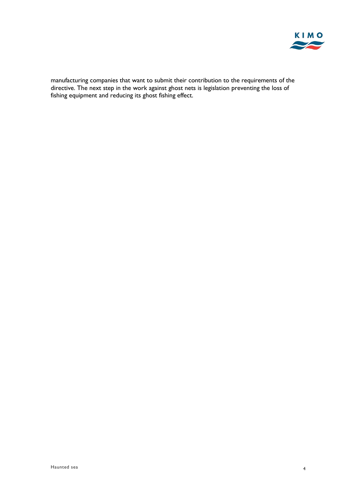

manufacturing companies that want to submit their contribution to the requirements of the directive. The next step in the work against ghost nets is legislation preventing the loss of fishing equipment and reducing its ghost fishing effect.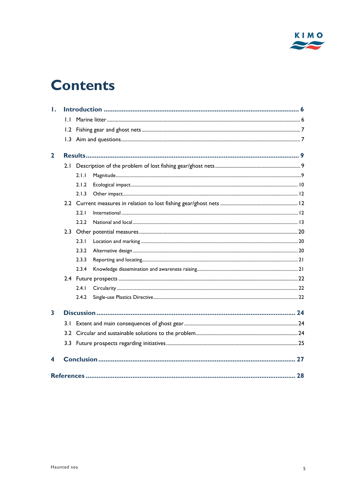

# **Contents**

| Ι.           |              |       |  |  |  |
|--------------|--------------|-------|--|--|--|
|              | $\mathsf{L}$ |       |  |  |  |
|              | 1.2          |       |  |  |  |
|              |              |       |  |  |  |
| $\mathbf{2}$ |              |       |  |  |  |
|              | 2.1          |       |  |  |  |
|              |              | 2.1.1 |  |  |  |
|              |              | 2.1.2 |  |  |  |
|              |              | 2.1.3 |  |  |  |
|              |              |       |  |  |  |
|              |              | 2.2.1 |  |  |  |
|              |              | 2.2.2 |  |  |  |
|              |              |       |  |  |  |
|              |              | 2.3.1 |  |  |  |
|              |              | 2.3.2 |  |  |  |
|              |              | 2.3.3 |  |  |  |
|              |              | 2.3.4 |  |  |  |
|              |              |       |  |  |  |
|              |              | 2.4.1 |  |  |  |
|              |              | 2.4.2 |  |  |  |
| 3            |              |       |  |  |  |
|              | 3.1          |       |  |  |  |
|              |              |       |  |  |  |
|              |              |       |  |  |  |
| 4            |              |       |  |  |  |
|              |              |       |  |  |  |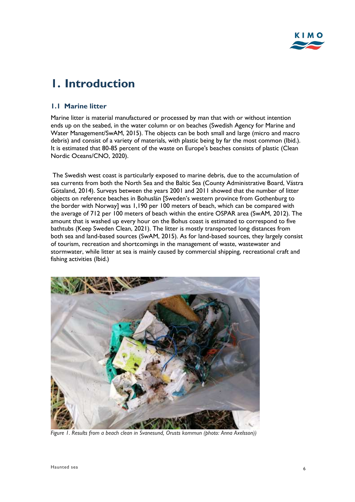# <span id="page-6-0"></span>**1. Introduction**

### <span id="page-6-1"></span>**1.1 Marine litter**

Marine litter is material manufactured or processed by man that with or without intention ends up on the seabed, in the water column or on beaches (Swedish Agency for Marine and Water Management/SwAM, 2015). The objects can be both small and large (micro and macro debris) and consist of a variety of materials, with plastic being by far the most common (Ibid.). It is estimated that 80-85 percent of the waste on Europe's beaches consists of plastic (Clean Nordic Oceans/CNO, 2020).

The Swedish west coast is particularly exposed to marine debris, due to the accumulation of sea currents from both the North Sea and the Baltic Sea (County Administrative Board, Västra Götaland, 2014). Surveys between the years 2001 and 2011 showed that the number of litter objects on reference beaches in Bohuslän [Sweden's western province from Gothenburg to the border with Norway] was 1,190 per 100 meters of beach, which can be compared with the average of 712 per 100 meters of beach within the entire OSPAR area (SwAM, 2012). The amount that is washed up every hour on the Bohus coast is estimated to correspond to five bathtubs (Keep Sweden Clean, 2021). The litter is mostly transported long distances from both sea and land-based sources (SwAM, 2015). As for land-based sources, they largely consist of tourism, recreation and shortcomings in the management of waste, wastewater and stormwater, while litter at sea is mainly caused by commercial shipping, recreational craft and fishing activities (Ibid.)



*Figure 1. Results from a beach clean in Svanesund, Orusts kommun (photo: Anna Axelsson))*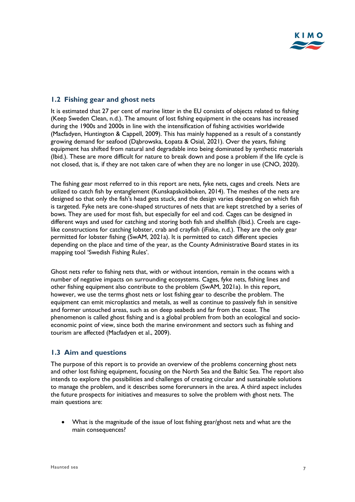### <span id="page-7-0"></span>**1.2 Fishing gear and ghost nets**

It is estimated that 27 per cent of marine litter in the EU consists of objects related to fishing (Keep Sweden Clean, n.d.). The amount of lost fishing equipment in the oceans has increased during the 1900s and 2000s in line with the intensification of fishing activities worldwide (Macfadyen, Huntington & Cappell, 2009). This has mainly happened as a result of a constantly growing demand for seafood (Dąbrowska, Łopata & Osial, 2021). Over the years, fishing equipment has shifted from natural and degradable into being dominated by synthetic materials (Ibid.). These are more difficult for nature to break down and pose a problem if the life cycle is not closed, that is, if they are not taken care of when they are no longer in use (CNO, 2020).

The fishing gear most referred to in this report are nets, fyke nets, cages and creels. Nets are utilized to catch fish by entanglement (Kunskapskokboken, 2014). The meshes of the nets are designed so that only the fish's head gets stuck, and the design varies depending on which fish is targeted. Fyke nets are cone-shaped structures of nets that are kept stretched by a series of bows. They are used for most fish, but especially for eel and cod. Cages can be designed in different ways and used for catching and storing both fish and shellfish (Ibid.). Creels are cagelike constructions for catching lobster, crab and crayfish (iFiske, n.d.). They are the only gear permitted for lobster fishing (SwAM, 2021a). It is permitted to catch different species depending on the place and time of the year, as the County Administrative Board states in its mapping tool 'Swedish Fishing Rules'.

Ghost nets refer to fishing nets that, with or without intention, remain in the oceans with a number of negative impacts on surrounding ecosystems. Cages, fyke nets, fishing lines and other fishing equipment also contribute to the problem (SwAM, 2021a). In this report, however, we use the terms ghost nets or lost fishing gear to describe the problem. The equipment can emit microplastics and metals, as well as continue to passively fish in sensitive and former untouched areas, such as on deep seabeds and far from the coast. The phenomenon is called ghost fishing and is a global problem from both an ecological and socioeconomic point of view, since both the marine environment and sectors such as fishing and tourism are affected (Macfadyen et al., 2009).

### <span id="page-7-1"></span>**1.3 Aim and questions**

The purpose of this report is to provide an overview of the problems concerning ghost nets and other lost fishing equipment, focusing on the North Sea and the Baltic Sea. The report also intends to explore the possibilities and challenges of creating circular and sustainable solutions to manage the problem, and it describes some forerunners in the area. A third aspect includes the future prospects for initiatives and measures to solve the problem with ghost nets. The main questions are:

• What is the magnitude of the issue of lost fishing gear/ghost nets and what are the main consequences?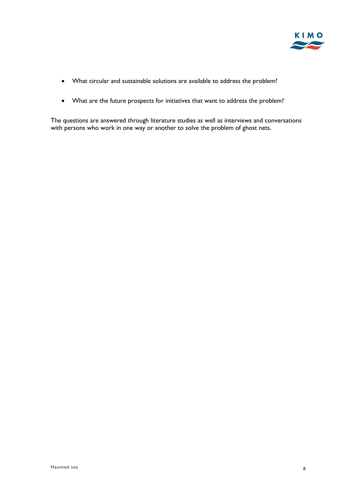

- What circular and sustainable solutions are available to address the problem?
- What are the future prospects for initiatives that want to address the problem?

The questions are answered through literature studies as well as interviews and conversations with persons who work in one way or another to solve the problem of ghost nets.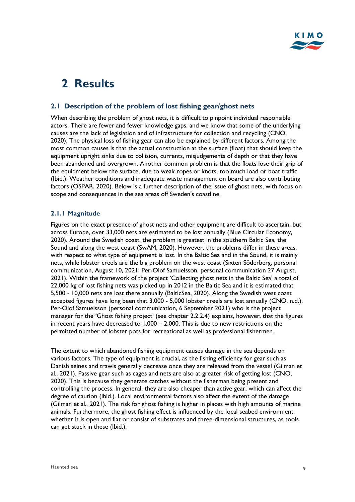# <span id="page-9-0"></span>**2 Results**

### <span id="page-9-1"></span>**2.1 Description of the problem of lost fishing gear/ghost nets**

When describing the problem of ghost nets, it is difficult to pinpoint individual responsible actors. There are fewer and fewer knowledge gaps, and we know that some of the underlying causes are the lack of legislation and of infrastructure for collection and recycling (CNO, 2020). The physical loss of fishing gear can also be explained by different factors. Among the most common causes is that the actual construction at the surface (float) that should keep the equipment upright sinks due to collision, currents, misjudgements of depth or that they have been abandoned and overgrown. Another common problem is that the floats lose their grip of the equipment below the surface, due to weak ropes or knots, too much load or boat traffic (Ibid.). Weather conditions and inadequate waste management on board are also contributing factors (OSPAR, 2020). Below is a further description of the issue of ghost nets, with focus on scope and consequences in the sea areas off Sweden's coastline.

#### <span id="page-9-2"></span>**2.1.1 Magnitude**

Figures on the exact presence of ghost nets and other equipment are difficult to ascertain, but across Europe, over 33,000 nets are estimated to be lost annually (Blue Circular Economy, 2020). Around the Swedish coast, the problem is greatest in the southern Baltic Sea, the Sound and along the west coast (SwAM, 2020). However, the problems differ in these areas, with respect to what type of equipment is lost. In the Baltic Sea and in the Sound, it is mainly nets, while lobster creels are the big problem on the west coast (Sixten Söderberg, personal communication, August 10, 2021; Per-Olof Samuelsson, personal communication 27 August, 2021). Within the framework of the project 'Collecting ghost nets in the Baltic Sea' a total of 22,000 kg of lost fishing nets was picked up in 2012 in the Baltic Sea and it is estimated that 5,500 - 10,000 nets are lost there annually (BalticSea, 2020). Along the Swedish west coast accepted figures have long been that 3,000 - 5,000 lobster creels are lost annually (CNO, n.d.). Per-Olof Samuelsson (personal communication, 6 September 2021) who is the project manager for the 'Ghost fishing project' (see chapter 2.2.2.4) explains, however, that the figures in recent years have decreased to 1,000 – 2,000. This is due to new restrictions on the permitted number of lobster pots for recreational as well as professional fishermen.

The extent to which abandoned fishing equipment causes damage in the sea depends on various factors. The type of equipment is crucial, as the fishing efficiency for gear such as Danish seines and trawls generally decrease once they are released from the vessel (Gilman et al., 2021). Passive gear such as cages and nets are also at greater risk of getting lost (CNO, 2020). This is because they generate catches without the fisherman being present and controlling the process. In general, they are also cheaper than active gear, which can affect the degree of caution (Ibid.). Local environmental factors also affect the extent of the damage (Gilman et al., 2021). The risk for ghost fishing is higher in places with high amounts of marine animals. Furthermore, the ghost fishing effect is influenced by the local seabed environment: whether it is open and flat or consist of substrates and three-dimensional structures, as tools can get stuck in these (Ibid.).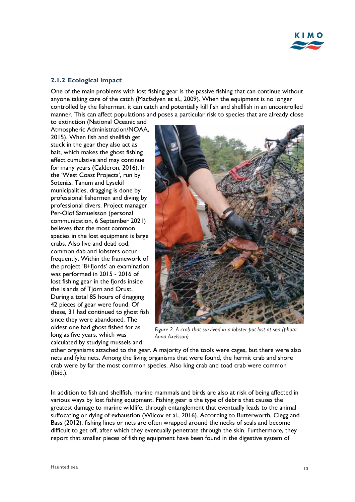

#### <span id="page-10-0"></span>**2.1.2 Ecological impact**

One of the main problems with lost fishing gear is the passive fishing that can continue without anyone taking care of the catch (Macfadyen et al., 2009). When the equipment is no longer controlled by the fisherman, it can catch and potentially kill fish and shellfish in an uncontrolled manner. This can affect populations and poses a particular risk to species that are already close

to extinction (National Oceanic and Atmospheric Administration/NOAA, 2015). When fish and shellfish get stuck in the gear they also act as bait, which makes the ghost fishing effect cumulative and may continue for many years (Calderon, 2016). In the 'West Coast Projects', run by Sotenäs, Tanum and Lysekil municipalities, dragging is done by professional fishermen and diving by professional divers. Project manager Per-Olof Samuelsson (personal communication, 6 September 2021) believes that the most common species in the lost equipment is large crabs. Also live and dead cod, common dab and lobsters occur frequently. Within the framework of the project '8+fjords' an examination was performed in 2015 - 2016 of lost fishing gear in the fjords inside the islands of Tjörn and Orust. During a total 85 hours of dragging 42 pieces of gear were found. Of these, 31 had continued to ghost fish since they were abandoned. The oldest one had ghost fished for as long as five years, which was calculated by studying mussels and



*Figure 2. A crab that survived in a lobster pot lost at sea (photo: Anna Axelsson)*

other organisms attached to the gear. A majority of the tools were cages, but there were also nets and fyke nets. Among the living organisms that were found, the hermit crab and shore crab were by far the most common species. Also king crab and toad crab were common (Ibid.).

In addition to fish and shellfish, marine mammals and birds are also at risk of being affected in various ways by lost fishing equipment. Fishing gear is the type of debris that causes the greatest damage to marine wildlife, through entanglement that eventually leads to the animal suffocating or dying of exhaustion (Wilcox et al., 2016). According to Butterworth, Clegg and Bass (2012), fishing lines or nets are often wrapped around the necks of seals and become difficult to get off, after which they eventually penetrate through the skin. Furthermore, they report that smaller pieces of fishing equipment have been found in the digestive system of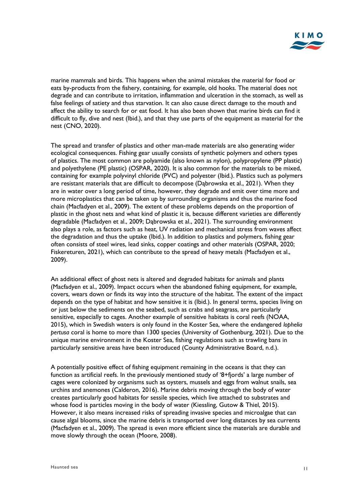

marine mammals and birds. This happens when the animal mistakes the material for food or eats by-products from the fishery, containing, for example, old hooks. The material does not degrade and can contribute to irritation, inflammation and ulceration in the stomach, as well as false feelings of satiety and thus starvation. It can also cause direct damage to the mouth and affect the ability to search for or eat food. It has also been shown that marine birds can find it difficult to fly, dive and nest (Ibid.), and that they use parts of the equipment as material for the nest (CNO, 2020).

The spread and transfer of plastics and other man-made materials are also generating wider ecological consequences. Fishing gear usually consists of synthetic polymers and others types of plastics. The most common are polyamide (also known as nylon), polypropylene (PP plastic) and polyethylene (PE plastic) (OSPAR, 2020). It is also common for the materials to be mixed, containing for example polyvinyl chloride (PVC) and polyester (Ibid.). Plastics such as polymers are resistant materials that are difficult to decompose (Dąbrowska et al., 2021). When they are in water over a long period of time, however, they degrade and emit over time more and more microplastics that can be taken up by surrounding organisms and thus the marine food chain (Macfadyen et al., 2009). The extent of these problems depends on the proportion of plastic in the ghost nets and what kind of plastic it is, because different varieties are differently degradable (Macfadyen et al., 2009; Dąbrowska et al., 2021). The surrounding environment also plays a role, as factors such as heat, UV radiation and mechanical stress from waves affect the degradation and thus the uptake (Ibid.). In addition to plastics and polymers, fishing gear often consists of steel wires, lead sinks, copper coatings and other materials (OSPAR, 2020; Fiskereturen, 2021), which can contribute to the spread of heavy metals (Macfadyen et al., 2009).

An additional effect of ghost nets is altered and degraded habitats for animals and plants (Macfadyen et al., 2009). Impact occurs when the abandoned fishing equipment, for example, covers, wears down or finds its way into the structure of the habitat. The extent of the impact depends on the type of habitat and how sensitive it is (Ibid.). In general terms, species living on or just below the sediments on the seabed, such as crabs and seagrass, are particularly sensitive, especially to cages. Another example of sensitive habitats is coral reefs (NOAA, 2015), which in Swedish waters is only found in the Koster Sea, where the endangered *lophelia pertusa* coral is home to more than 1300 species (University of Gothenburg, 2021). Due to the unique marine environment in the Koster Sea, fishing regulations such as trawling bans in particularly sensitive areas have been introduced (County Administrative Board, n.d.).

A potentially positive effect of fishing equipment remaining in the oceans is that they can function as artificial reefs. In the previously mentioned study of '8+fjords' a large number of cages were colonized by organisms such as oysters, mussels and eggs from walnut snails, sea urchins and anemones (Calderon, 2016). Marine debris moving through the body of water creates particularly good habitats for sessile species, which live attached to substrates and whose food is particles moving in the body of water (Kiessling, Gutow & Thiel, 2015). However, it also means increased risks of spreading invasive species and microalgae that can cause algal blooms, since the marine debris is transported over long distances by sea currents (Macfadyen et al., 2009). The spread is even more efficient since the materials are durable and move slowly through the ocean (Moore, 2008).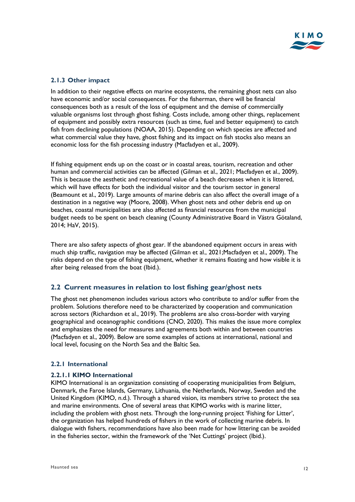#### <span id="page-12-0"></span>**2.1.3 Other impact**

In addition to their negative effects on marine ecosystems, the remaining ghost nets can also have economic and/or social consequences. For the fisherman, there will be financial consequences both as a result of the loss of equipment and the demise of commercially valuable organisms lost through ghost fishing. Costs include, among other things, replacement of equipment and possibly extra resources (such as time, fuel and better equipment) to catch fish from declining populations (NOAA, 2015). Depending on which species are affected and what commercial value they have, ghost fishing and its impact on fish stocks also means an economic loss for the fish processing industry (Macfadyen et al., 2009).

If fishing equipment ends up on the coast or in coastal areas, tourism, recreation and other human and commercial activities can be affected (Gilman et al., 2021; Macfadyen et al., 2009). This is because the aesthetic and recreational value of a beach decreases when it is littered, which will have effects for both the individual visitor and the tourism sector in general (Beamount et al., 2019). Large amounts of marine debris can also affect the overall image of a destination in a negative way (Moore, 2008). When ghost nets and other debris end up on beaches, coastal municipalities are also affected as financial resources from the municipal budget needs to be spent on beach cleaning (County Administrative Board in Västra Götaland, 2014; HaV, 2015).

There are also safety aspects of ghost gear. If the abandoned equipment occurs in areas with much ship traffic, navigation may be affected (Gilman et al., 2021;Macfadyen et al., 2009). The risks depend on the type of fishing equipment, whether it remains floating and how visible it is after being released from the boat (Ibid.).

### <span id="page-12-1"></span>**2.2 Current measures in relation to lost fishing gear/ghost nets**

The ghost net phenomenon includes various actors who contribute to and/or suffer from the problem. Solutions therefore need to be characterized by cooperation and communication across sectors (Richardson et al., 2019). The problems are also cross-border with varying geographical and oceanographic conditions (CNO, 2020). This makes the issue more complex and emphasizes the need for measures and agreements both within and between countries (Macfadyen et al., 2009). Below are some examples of actions at international, national and local level, focusing on the North Sea and the Baltic Sea.

#### <span id="page-12-2"></span>**2.2.1 International**

#### **2.2.1.1 KIMO International**

KIMO International is an organization consisting of cooperating municipalities from Belgium, Denmark, the Faroe Islands, Germany, Lithuania, the Netherlands, Norway, Sweden and the United Kingdom (KIMO, n.d.). Through a shared vision, its members strive to protect the sea and marine environments. One of several areas that KIMO works with is marine litter, including the problem with ghost nets. Through the long-running project 'Fishing for Litter', the organization has helped hundreds of fishers in the work of collecting marine debris. In dialogue with fishers, recommendations have also been made for how littering can be avoided in the fisheries sector, within the framework of the 'Net Cuttings' project (Ibid.).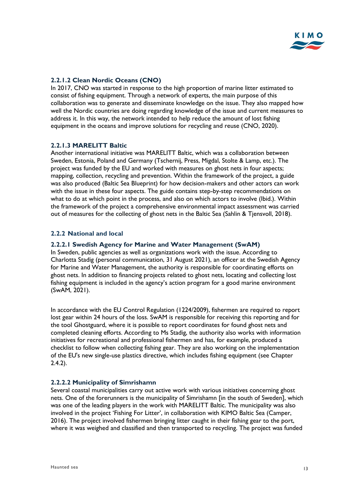

#### **2.2.1.2 Clean Nordic Oceans (CNO)**

In 2017, CNO was started in response to the high proportion of marine litter estimated to consist of fishing equipment. Through a network of experts, the main purpose of this collaboration was to generate and disseminate knowledge on the issue. They also mapped how well the Nordic countries are doing regarding knowledge of the issue and current measures to address it. In this way, the network intended to help reduce the amount of lost fishing equipment in the oceans and improve solutions for recycling and reuse (CNO, 2020).

#### **2.2.1.3 MARELITT Baltic**

Another international initiative was MARELITT Baltic, which was a collaboration between Sweden, Estonia, Poland and Germany (Tschernij, Press, Migdal, Stolte & Lamp, etc.). The project was funded by the EU and worked with measures on ghost nets in four aspects; mapping, collection, recycling and prevention. Within the framework of the project, a guide was also produced (Baltic Sea Blueprint) for how decision-makers and other actors can work with the issue in these four aspects. The guide contains step-by-step recommendations on what to do at which point in the process, and also on which actors to involve (Ibid.). Within the framework of the project a comprehensive environmental impact assessment was carried out of measures for the collecting of ghost nets in the Baltic Sea (Sahlin & Tjensvoll, 2018).

#### <span id="page-13-0"></span>**2.2.2 National and local**

#### **2.2.2.1 Swedish Agency for Marine and Water Management (SwAM)**

In Sweden, public agencies as well as organizations work with the issue. According to Charlotta Stadig (personal communication, 31 August 2021), an officer at the Swedish Agency for Marine and Water Management, the authority is responsible for coordinating efforts on ghost nets. In addition to financing projects related to ghost nets, locating and collecting lost fishing equipment is included in the agency's action program for a good marine environment (SwAM, 2021).

In accordance with the EU Control Regulation (1224/2009), fishermen are required to report lost gear within 24 hours of the loss. SwAM is responsible for receiving this reporting and for the tool Ghostguard, where it is possible to report coordinates for found ghost nets and completed cleaning efforts. According to Ms Stadig, the authority also works with information initiatives for recreational and professional fishermen and has, for example, produced a checklist to follow when collecting fishing gear. They are also working on the implementation of the EU's new single-use plastics directive, which includes fishing equipment (see Chapter 2.4.2).

#### **2.2.2.2 Municipality of Simrishamn**

Several coastal municipalities carry out active work with various initiatives concerning ghost nets. One of the forerunners is the municipality of Simrishamn [in the south of Sweden], which was one of the leading players in the work with MARELITT Baltic. The municipality was also involved in the project 'Fishing For Litter', in collaboration with KIMO Baltic Sea (Camper, 2016). The project involved fishermen bringing litter caught in their fishing gear to the port, where it was weighed and classified and then transported to recycling. The project was funded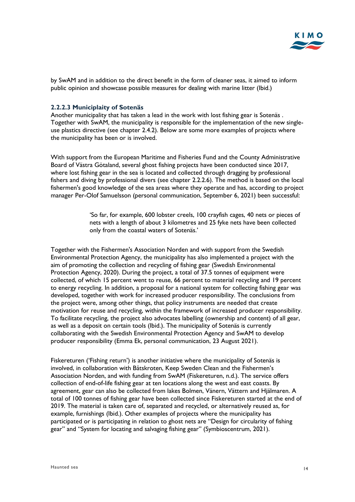

by SwAM and in addition to the direct benefit in the form of cleaner seas, it aimed to inform public opinion and showcase possible measures for dealing with marine litter (Ibid.)

#### **2.2.2.3 Municiplaity of Sotenäs**

Another municipality that has taken a lead in the work with lost fishing gear is Sotenäs . Together with SwAM, the municipality is responsible for the implementation of the new singleuse plastics directive (see chapter 2.4.2). Below are some more examples of projects where the municipality has been or is involved.

With support from the European Maritime and Fisheries Fund and the County Administrative Board of Västra Götaland, several ghost fishing projects have been conducted since 2017, where lost fishing gear in the sea is located and collected through dragging by professional fishers and diving by professional divers (see chapter 2.2.2.6). The method is based on the local fishermen's good knowledge of the sea areas where they operate and has, according to project manager Per-Olof Samuelsson (personal communication, September 6, 2021) been successful:

> 'So far, for example, 600 lobster creels, 100 crayfish cages, 40 nets or pieces of nets with a length of about 3 kilometres and 25 fyke nets have been collected only from the coastal waters of Sotenäs.'

Together with the Fishermen's Association Norden and with support from the Swedish Environmental Protection Agency, the municipality has also implemented a project with the aim of promoting the collection and recycling of fishing gear (Swedish Environmental Protection Agency, 2020). During the project, a total of 37.5 tonnes of equipment were collected, of which 15 percent went to reuse, 66 percent to material recycling and 19 percent to energy recycling. In addition, a proposal for a national system for collecting fishing gear was developed, together with work for increased producer responsibility. The conclusions from the project were, among other things, that policy instruments are needed that create motivation for reuse and recycling, within the framework of increased producer responsibility. To facilitate recycling, the project also advocates labelling (ownership and content) of all gear, as well as a deposit on certain tools (Ibid.). The municipality of Sotenäs is currently collaborating with the Swedish Environmental Protection Agency and SwAM to develop producer responsibility (Emma Ek, personal communication, 23 August 2021).

Fiskereturen ('Fishing return') is another initiative where the municipality of Sotenäs is involved, in collaboration with Båtskroten, Keep Sweden Clean and the Fishermen's Association Norden, and with funding from SwAM (Fiskereturen, n.d.). The service offers collection of end-of-life fishing gear at ten locations along the west and east coasts. By agreement, gear can also be collected from lakes Bolmen, Vänern, Vättern and Hjälmaren. A total of 100 tonnes of fishing gear have been collected since Fiskereturen started at the end of 2019. The material is taken care of, separated and recycled, or alternatively reused as, for example, furnishings (Ibid.). Other examples of projects where the municipality has participated or is participating in relation to ghost nets are "Design for circularity of fishing gear" and "System for locating and salvaging fishing gear" (Symbioscentrum, 2021).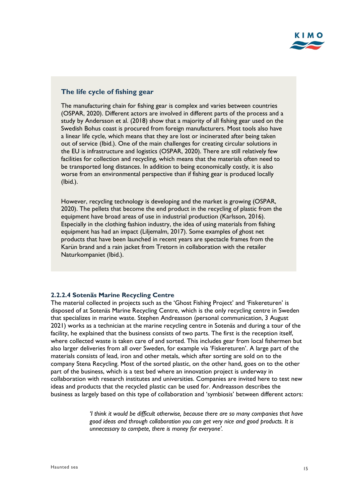

#### **The life cycle of fishing gear**

The manufacturing chain for fishing gear is complex and varies between countries (OSPAR, 2020). Different actors are involved in different parts of the process and a study by Andersson et al. (2018) show that a majority of all fishing gear used on the Swedish Bohus coast is procured from foreign manufacturers. Most tools also have a linear life cycle, which means that they are lost or incinerated after being taken out of service (Ibid.). One of the main challenges for creating circular solutions in the EU is infrastructure and logistics (OSPAR, 2020). There are still relatively few facilities for collection and recycling, which means that the materials often need to be transported long distances. In addition to being economically costly, it is also worse from an environmental perspective than if fishing gear is produced locally (Ibid.).

However, recycling technology is developing and the market is growing (OSPAR, 2020). The pellets that become the end product in the recycling of plastic from the equipment have broad areas of use in industrial production (Karlsson, 2016). Especially in the clothing fashion industry, the idea of using materials from fishing equipment has had an impact (Liljemalm, 2017). Some examples of ghost net products that have been launched in recent years are spectacle frames from the Karün brand and a rain jacket from Tretorn in collaboration with the retailer Naturkompaniet (Ibid.).

#### **2.2.2.4 Sotenäs Marine Recycling Centre**

The material collected in projects such as the 'Ghost Fishing Project' and 'Fiskereturen' is disposed of at Sotenäs Marine Recycling Centre, which is the only recycling centre in Sweden that specializes in marine waste. Stephen Andreasson (personal communication, 3 August 2021) works as a technician at the marine recycling centre in Sotenäs and during a tour of the facility, he explained that the business consists of two parts. The first is the reception itself, where collected waste is taken care of and sorted. This includes gear from local fishermen but also larger deliveries from all over Sweden, for example via 'Fiskereturen'. A large part of the materials consists of lead, iron and other metals, which after sorting are sold on to the company Stena Recycling. Most of the sorted plastic, on the other hand, goes on to the other part of the business, which is a test bed where an innovation project is underway in collaboration with research institutes and universities. Companies are invited here to test new ideas and products that the recycled plastic can be used for. Andreasson describes the business as largely based on this type of collaboration and 'symbiosis' between different actors:

> *'I think it would be difficult otherwise, because there are so many companies that have good ideas and through collaboration you can get very nice and good products. It is unnecessary to compete, there is money for everyone'.*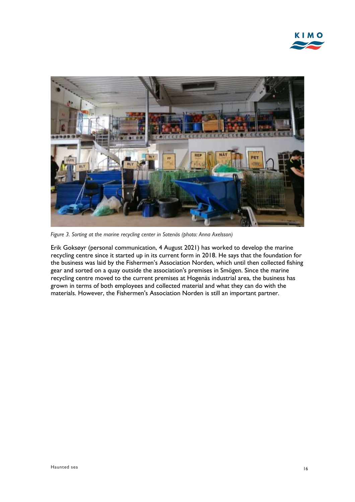

*Figure 3. Sorting at the marine recycling center in Sotenäs (photo: Anna Axelsson)*

Erik Goksøyr (personal communication, 4 August 2021) has worked to develop the marine recycling centre since it started up in its current form in 2018. He says that the foundation for the business was laid by the Fishermen's Association Norden, which until then collected fishing gear and sorted on a quay outside the association's premises in Smögen. Since the marine recycling centre moved to the current premises at Hogenäs industrial area, the business has grown in terms of both employees and collected material and what they can do with the materials. However, the Fishermen's Association Norden is still an important partner.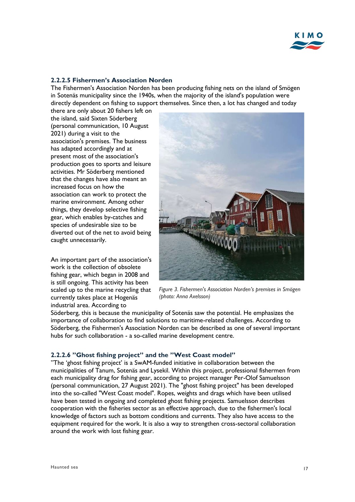

#### **2.2.2.5 Fishermen's Association Norden**

The Fishermen's Association Norden has been producing fishing nets on the island of Smögen in Sotenäs municipality since the 1940s, when the majority of the island's population were directly dependent on fishing to support themselves. Since then, a lot has changed and today

there are only about 20 fishers left on the island, said Sixten Söderberg (personal communication, 10 August 2021) during a visit to the association's premises. The business has adapted accordingly and at present most of the association's production goes to sports and leisure activities. Mr Söderberg mentioned that the changes have also meant an increased focus on how the association can work to protect the marine environment. Among other things, they develop selective fishing gear, which enables by-catches and species of undesirable size to be diverted out of the net to avoid being caught unnecessarily.

An important part of the association's work is the collection of obsolete fishing gear, which began in 2008 and is still ongoing. This activity has been scaled up to the marine recycling that currently takes place at Hogenäs industrial area. According to



*Figure 3. Fishermen's Association Norden's premises in Smögen (photo: Anna Axelsson)*

Söderberg, this is because the municipality of Sotenäs saw the potential. He emphasizes the importance of collaboration to find solutions to maritime-related challenges. According to Söderberg, the Fishermen's Association Norden can be described as one of several important hubs for such collaboration - a so-called marine development centre.

#### **2.2.2.6 "Ghost fishing project" and the "West Coast model"**

"The 'ghost fishing project' is a SwAM-funded initiative in collaboration between the municipalities of Tanum, Sotenäs and Lysekil. Within this project, professional fishermen from each municipality drag for fishing gear, according to project manager Per-Olof Samuelsson (personal communication, 27 August 2021). The "ghost fishing project" has been developed into the so-called "West Coast model". Ropes, weights and drags which have been utilised have been tested in ongoing and completed ghost fishing projects. Samuelsson describes cooperation with the fisheries sector as an effective approach, due to the fishermen's local knowledge of factors such as bottom conditions and currents. They also have access to the equipment required for the work. It is also a way to strengthen cross-sectoral collaboration around the work with lost fishing gear.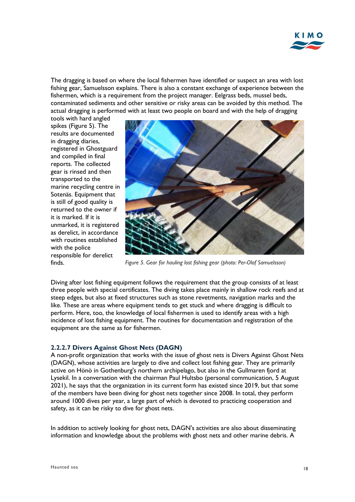

The dragging is based on where the local fishermen have identified or suspect an area with lost fishing gear, Samuelsson explains. There is also a constant exchange of experience between the fishermen, which is a requirement from the project manager. Eelgrass beds, mussel beds, contaminated sediments and other sensitive or risky areas can be avoided by this method. The actual dragging is performed with at least two people on board and with the help of dragging

tools with hard angled spikes (Figure 5). The results are documented in dragging diaries, registered in Ghostguard and compiled in final reports. The collected gear is rinsed and then transported to the marine recycling centre in Sotenäs. Equipment that is still of good quality is returned to the owner if it is marked. If it is unmarked, it is registered as derelict, in accordance with routines established with the police responsible for derelict finds.



*Figure 5. Gear for hauling lost fishing gear (photo: Per-Olof Samuelsson)*

Diving after lost fishing equipment follows the requirement that the group consists of at least three people with special certificates. The diving takes place mainly in shallow rock reefs and at steep edges, but also at fixed structures such as stone revetments, navigation marks and the like. These are areas where equipment tends to get stuck and where dragging is difficult to perform. Here, too, the knowledge of local fishermen is used to identify areas with a high incidence of lost fishing equipment. The routines for documentation and registration of the equipment are the same as for fishermen.

#### **2.2.2.7 Divers Against Ghost Nets (DAGN)**

A non-profit organization that works with the issue of ghost nets is Divers Against Ghost Nets (DAGN), whose activities are largely to dive and collect lost fishing gear. They are primarily active on Hönö in Gothenburg's northern archipelago, but also in the Gullmaren fjord at Lysekil. In a conversation with the chairman Paul Hultsbo (personal communication, 5 August 2021), he says that the organization in its current form has existed since 2019, but that some of the members have been diving for ghost nets together since 2008. In total, they perform around 1000 dives per year, a large part of which is devoted to practicing cooperation and safety, as it can be risky to dive for ghost nets.

In addition to actively looking for ghost nets, DAGN's activities are also about disseminating information and knowledge about the problems with ghost nets and other marine debris. A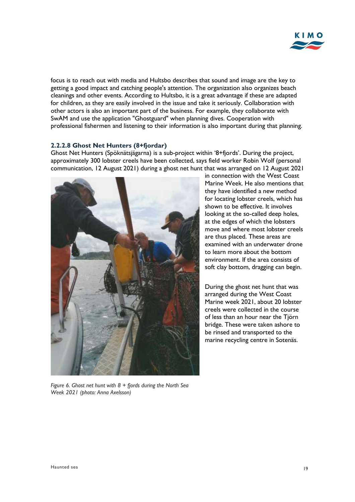

focus is to reach out with media and Hultsbo describes that sound and image are the key to getting a good impact and catching people's attention. The organization also organizes beach cleanings and other events. According to Hultsbo, it is a great advantage if these are adapted for children, as they are easily involved in the issue and take it seriously. Collaboration with other actors is also an important part of the business. For example, they collaborate with SwAM and use the application "Ghostguard" when planning dives. Cooperation with professional fishermen and listening to their information is also important during that planning.

#### **2.2.2.8 Ghost Net Hunters (8+fjordar)**

Ghost Net Hunters (Spöknätsjägarna) is a sub-project within '8+fjords'. During the project, approximately 300 lobster creels have been collected, says field worker Robin Wolf (personal communication, 12 August 2021) during a ghost net hunt that was arranged on 12 August 2021



in connection with the West Coast Marine Week. He also mentions that they have identified a new method for locating lobster creels, which has shown to be effective. It involves looking at the so-called deep holes, at the edges of which the lobsters move and where most lobster creels are thus placed. These areas are examined with an underwater drone to learn more about the bottom environment. If the area consists of soft clay bottom, dragging can begin.

During the ghost net hunt that was arranged during the West Coast Marine week 2021, about 20 lobster creels were collected in the course of less than an hour near the Tjörn bridge. These were taken ashore to be rinsed and transported to the marine recycling centre in Sotenäs.

*Figure 6. Ghost net hunt with 8 + fjords during the North Sea Week 2021 (photo: Anna Axelsson)*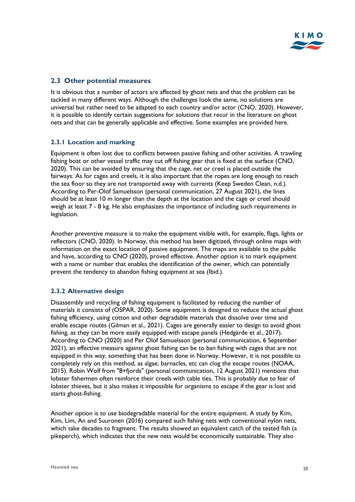### <span id="page-20-0"></span>**2.3 Other potential measures**

It is obvious that a number of actors are affected by ghost nets and that the problem can be tackled in many different ways. Although the challenges look the same, no solutions are universal but rather need to be adapted to each country and/or actor (CNO, 2020). However, it is possible to identify certain suggestions for solutions that recur in the literature on ghost nets and that can be generally applicable and effective. Some examples are provided here.

#### <span id="page-20-1"></span>**2.3.1 Location and marking**

Equipment is often lost due to conflicts between passive fishing and other activities. A trawling fishing boat or other vessel traffic may cut off fishing gear that is fixed at the surface (CNO, 2020). This can be avoided by ensuring that the cage, net or creel is placed outside the fairways. As for cages and creels, it is also important that the ropes are long enough to reach the sea floor so they are not transported away with currents (Keep Sweden Clean, n.d.). According to Per-Olof Samuelsson (personal communication, 27 August 2021), the lines should be at least 10 m longer than the depth at the location and the cage or creel should weigh at least 7 - 8 kg. He also emphasizes the importance of including such requirements in legislation.

Another preventive measure is to make the equipment visible with, for example, flags, lights or reflectors (CNO, 2020). In Norway, this method has been digitized, through online maps with information on the exact location of passive equipment. The maps are available to the public and have, according to CNO (2020), proved effective. Another option is to mark equipment with a name or number that enables the identification of the owner, which can potentially prevent the tendency to abandon fishing equipment at sea (Ibid.).

#### <span id="page-20-2"></span>**2.3.2 Alternative design**

Disassembly and recycling of fishing equipment is facilitated by reducing the number of materials it consists of (OSPAR, 2020). Some equipment is designed to reduce the actual ghost fishing efficiency, using cotton and other degradable materials that dissolve over time and enable escape routes (Gilman et al., 2021). Cages are generally easier to design to avoid ghost fishing, as they can be more easily equipped with escape panels (Hedgärde et al., 2017). According to CNO (2020) and Per Olof Samuelsson (personal communication, 6 September 2021), an effective measure against ghost fishing can be to ban fishing with cages that are not equipped in this way, something that has been done in Norway. However, it is not possible to completely rely on this method, as algae, barnacles, etc can clog the escape routes (NOAA, 2015). Robin Wolf from "8+fjords" (personal communication, 12 August 2021) mentions that lobster fishermen often reinforce their creels with cable ties. This is probably due to fear of lobster thieves, but it also makes it impossible for organisms to escape if the gear is lost and starts ghost-fishing.

Another option is to use biodegradable material for the entire equipment. A study by Kim, Kim, Lim, An and Suuronen (2016) compared such fishing nets with conventional nylon nets, which take decades to fragment. The results showed an equivalent catch of the tested fish (a pikeperch), which indicates that the new nets would be economically sustainable. They also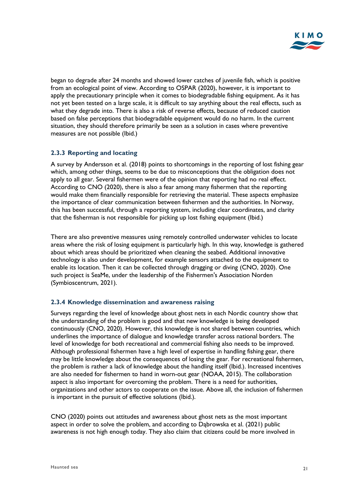

began to degrade after 24 months and showed lower catches of juvenile fish, which is positive from an ecological point of view. According to OSPAR (2020), however, it is important to apply the precautionary principle when it comes to biodegradable fishing equipment. As it has not yet been tested on a large scale, it is difficult to say anything about the real effects, such as what they degrade into. There is also a risk of reverse effects, because of reduced caution based on false perceptions that biodegradable equipment would do no harm. In the current situation, they should therefore primarily be seen as a solution in cases where preventive measures are not possible (Ibid.)

#### <span id="page-21-0"></span>**2.3.3 Reporting and locating**

A survey by Andersson et al. (2018) points to shortcomings in the reporting of lost fishing gear which, among other things, seems to be due to misconceptions that the obligation does not apply to all gear. Several fishermen were of the opinion that reporting had no real effect. According to CNO (2020), there is also a fear among many fishermen that the reporting would make them financially responsible for retrieving the material. These aspects emphasize the importance of clear communication between fishermen and the authorities. In Norway, this has been successful, through a reporting system, including clear coordinates, and clarity that the fisherman is not responsible for picking up lost fishing equipment (Ibid.)

There are also preventive measures using remotely controlled underwater vehicles to locate areas where the risk of losing equipment is particularly high. In this way, knowledge is gathered about which areas should be prioritized when cleaning the seabed. Additional innovative technology is also under development, for example sensors attached to the equipment to enable its location. Then it can be collected through dragging or diving (CNO, 2020). One such project is SeaMe, under the leadership of the Fishermen's Association Norden (Symbioscentrum, 2021).

#### <span id="page-21-1"></span>**2.3.4 Knowledge dissemination and awareness raising**

Surveys regarding the level of knowledge about ghost nets in each Nordic country show that the understanding of the problem is good and that new knowledge is being developed continuously (CNO, 2020). However, this knowledge is not shared between countries, which underlines the importance of dialogue and knowledge transfer across national borders. The level of knowledge for both recreational and commercial fishing also needs to be improved. Although professional fishermen have a high level of expertise in handling fishing gear, there may be little knowledge about the consequences of losing the gear. For recreational fishermen, the problem is rather a lack of knowledge about the handling itself (Ibid.). Increased incentives are also needed for fishermen to hand in worn-out gear (NOAA, 2015). The collaboration aspect is also important for overcoming the problem. There is a need for authorities, organizations and other actors to cooperate on the issue. Above all, the inclusion of fishermen is important in the pursuit of effective solutions (Ibid.).

CNO (2020) points out attitudes and awareness about ghost nets as the most important aspect in order to solve the problem, and according to Dąbrowska et al. (2021) public awareness is not high enough today. They also claim that citizens could be more involved in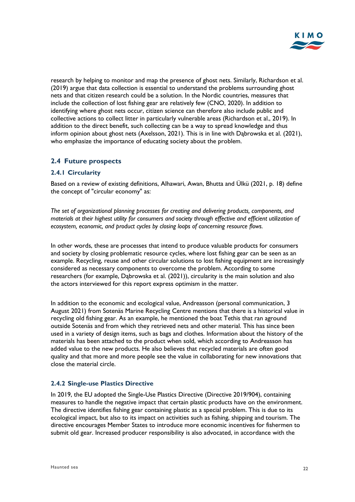

research by helping to monitor and map the presence of ghost nets. Similarly, Richardson et al. (2019) argue that data collection is essential to understand the problems surrounding ghost nets and that citizen research could be a solution. In the Nordic countries, measures that include the collection of lost fishing gear are relatively few (CNO, 2020). In addition to identifying where ghost nets occur, citizen science can therefore also include public and collective actions to collect litter in particularly vulnerable areas (Richardson et al., 2019). In addition to the direct benefit, such collecting can be a way to spread knowledge and thus inform opinion about ghost nets (Axelsson, 2021). This is in line with Dąbrowska et al. (2021), who emphasize the importance of educating society about the problem.

#### <span id="page-22-0"></span>**2.4 Future prospects**

#### <span id="page-22-1"></span>**2.4.1 Circularity**

Based on a review of existing definitions, Alhawari, Awan, Bhutta and Ülkü (2021, p. 18) define the concept of "circular economy" as:

*The set of organizational planning processes for creating and delivering products, components, and materials at their highest utility for consumers and society through effective and efficient utilization of ecosystem, economic, and product cycles by closing loops of concerning resource flows.*

In other words, these are processes that intend to produce valuable products for consumers and society by closing problematic resource cycles, where lost fishing gear can be seen as an example. Recycling, reuse and other circular solutions to lost fishing equipment are increasingly considered as necessary components to overcome the problem. According to some researchers (for example, Dąbrowska et al. (2021)), circularity is the main solution and also the actors interviewed for this report express optimism in the matter.

In addition to the economic and ecological value, Andreasson (personal communication, 3 August 2021) from Sotenäs Marine Recycling Centre mentions that there is a historical value in recycling old fishing gear. As an example, he mentioned the boat Tethis that ran aground outside Sotenäs and from which they retrieved nets and other material. This has since been used in a variety of design items, such as bags and clothes. Information about the history of the materials has been attached to the product when sold, which according to Andreasson has added value to the new products. He also believes that recycled materials are often good quality and that more and more people see the value in collaborating for new innovations that close the material circle.

#### <span id="page-22-2"></span>**2.4.2 Single-use Plastics Directive**

In 2019, the EU adopted the Single-Use Plastics Directive (Directive 2019/904), containing measures to handle the negative impact that certain plastic products have on the environment. The directive identifies fishing gear containing plastic as a special problem. This is due to its ecological impact, but also to its impact on activities such as fishing, shipping and tourism. The directive encourages Member States to introduce more economic incentives for fishermen to submit old gear. Increased producer responsibility is also advocated, in accordance with the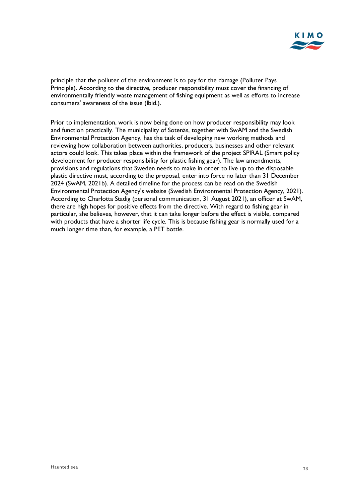

principle that the polluter of the environment is to pay for the damage (Polluter Pays Principle). According to the directive, producer responsibility must cover the financing of environmentally friendly waste management of fishing equipment as well as efforts to increase consumers' awareness of the issue (Ibid.).

Prior to implementation, work is now being done on how producer responsibility may look and function practically. The municipality of Sotenäs, together with SwAM and the Swedish Environmental Protection Agency, has the task of developing new working methods and reviewing how collaboration between authorities, producers, businesses and other relevant actors could look. This takes place within the framework of the project SPIRAL (Smart policy development for producer responsibility for plastic fishing gear). The law amendments, provisions and regulations that Sweden needs to make in order to live up to the disposable plastic directive must, according to the proposal, enter into force no later than 31 December 2024 (SwAM, 2021b). A detailed timeline for the process can be read on the Swedish Environmental Protection Agency's website (Swedish Environmental Protection Agency, 2021). According to Charlotta Stadig (personal communication, 31 August 2021), an officer at SwAM, there are high hopes for positive effects from the directive. With regard to fishing gear in particular, she believes, however, that it can take longer before the effect is visible, compared with products that have a shorter life cycle. This is because fishing gear is normally used for a much longer time than, for example, a PET bottle.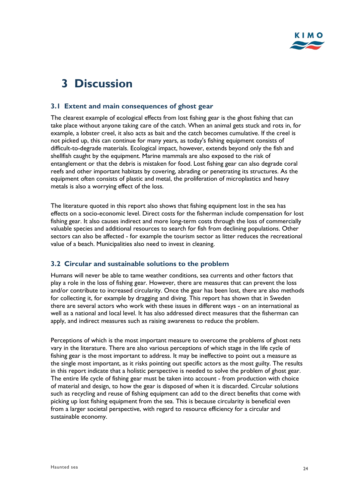# <span id="page-24-0"></span>**3 Discussion**

#### <span id="page-24-1"></span>**3.1 Extent and main consequences of ghost gear**

The clearest example of ecological effects from lost fishing gear is the ghost fishing that can take place without anyone taking care of the catch. When an animal gets stuck and rots in, for example, a lobster creel, it also acts as bait and the catch becomes cumulative. If the creel is not picked up, this can continue for many years, as today's fishing equipment consists of difficult-to-degrade materials. Ecological impact, however, extends beyond only the fish and shellfish caught by the equipment. Marine mammals are also exposed to the risk of entanglement or that the debris is mistaken for food. Lost fishing gear can also degrade coral reefs and other important habitats by covering, abrading or penetrating its structures. As the equipment often consists of plastic and metal, the proliferation of microplastics and heavy metals is also a worrying effect of the loss.

The literature quoted in this report also shows that fishing equipment lost in the sea has effects on a socio-economic level. Direct costs for the fisherman include compensation for lost fishing gear. It also causes indirect and more long-term costs through the loss of commercially valuable species and additional resources to search for fish from declining populations. Other sectors can also be affected - for example the tourism sector as litter reduces the recreational value of a beach. Municipalities also need to invest in cleaning.

### <span id="page-24-2"></span>**3.2 Circular and sustainable solutions to the problem**

Humans will never be able to tame weather conditions, sea currents and other factors that play a role in the loss of fishing gear. However, there are measures that can prevent the loss and/or contribute to increased circularity. Once the gear has been lost, there are also methods for collecting it, for example by dragging and diving. This report has shown that in Sweden there are several actors who work with these issues in different ways - on an international as well as a national and local level. It has also addressed direct measures that the fisherman can apply, and indirect measures such as raising awareness to reduce the problem.

Perceptions of which is the most important measure to overcome the problems of ghost nets vary in the literature. There are also various perceptions of which stage in the life cycle of fishing gear is the most important to address. It may be ineffective to point out a measure as the single most important, as it risks pointing out specific actors as the most guilty. The results in this report indicate that a holistic perspective is needed to solve the problem of ghost gear. The entire life cycle of fishing gear must be taken into account - from production with choice of material and design, to how the gear is disposed of when it is discarded. Circular solutions such as recycling and reuse of fishing equipment can add to the direct benefits that come with picking up lost fishing equipment from the sea. This is because circularity is beneficial even from a larger societal perspective, with regard to resource efficiency for a circular and sustainable economy.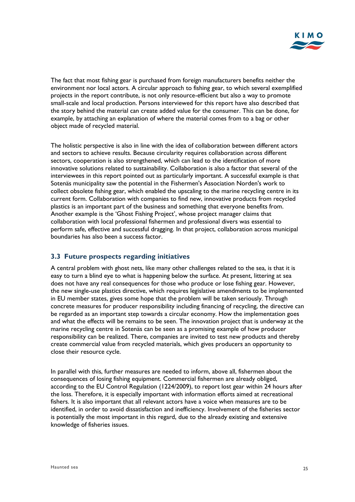

The fact that most fishing gear is purchased from foreign manufacturers benefits neither the environment nor local actors. A circular approach to fishing gear, to which several exemplified projects in the report contribute, is not only resource-efficient but also a way to promote small-scale and local production. Persons interviewed for this report have also described that the story behind the material can create added value for the consumer. This can be done, for example, by attaching an explanation of where the material comes from to a bag or other object made of recycled material.

The holistic perspective is also in line with the idea of collaboration between different actors and sectors to achieve results. Because circularity requires collaboration across different sectors, cooperation is also strengthened, which can lead to the identification of more innovative solutions related to sustainability. Collaboration is also a factor that several of the interviewees in this report pointed out as particularly important. A successful example is that Sotenäs municipality saw the potential in the Fishermen's Association Norden's work to collect obsolete fishing gear, which enabled the upscaling to the marine recycling centre in its current form. Collaboration with companies to find new, innovative products from recycled plastics is an important part of the business and something that everyone benefits from. Another example is the 'Ghost Fishing Project', whose project manager claims that collaboration with local professional fishermen and professional divers was essential to perform safe, effective and successful dragging. In that project, collaboration across municipal boundaries has also been a success factor.

#### <span id="page-25-0"></span>**3.3 Future prospects regarding initiatives**

A central problem with ghost nets, like many other challenges related to the sea, is that it is easy to turn a blind eye to what is happening below the surface. At present, littering at sea does not have any real consequences for those who produce or lose fishing gear. However, the new single-use plastics directive, which requires legislative amendments to be implemented in EU member states, gives some hope that the problem will be taken seriously. Through concrete measures for producer responsibility including financing of recycling, the directive can be regarded as an important step towards a circular economy. How the implementation goes and what the effects will be remains to be seen. The innovation project that is underway at the marine recycling centre in Sotenäs can be seen as a promising example of how producer responsibility can be realized. There, companies are invited to test new products and thereby create commercial value from recycled materials, which gives producers an opportunity to close their resource cycle.

In parallel with this, further measures are needed to inform, above all, fishermen about the consequences of losing fishing equipment. Commercial fishermen are already obliged, according to the EU Control Regulation (1224/2009), to report lost gear within 24 hours after the loss. Therefore, it is especially important with information efforts aimed at recreational fishers. It is also important that all relevant actors have a voice when measures are to be identified, in order to avoid dissatisfaction and inefficiency. Involvement of the fisheries sector is potentially the most important in this regard, due to the already existing and extensive knowledge of fisheries issues.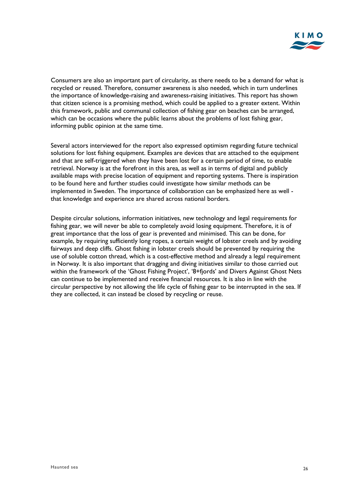

Consumers are also an important part of circularity, as there needs to be a demand for what is recycled or reused. Therefore, consumer awareness is also needed, which in turn underlines the importance of knowledge-raising and awareness-raising initiatives. This report has shown that citizen science is a promising method, which could be applied to a greater extent. Within this framework, public and communal collection of fishing gear on beaches can be arranged, which can be occasions where the public learns about the problems of lost fishing gear, informing public opinion at the same time.

Several actors interviewed for the report also expressed optimism regarding future technical solutions for lost fishing equipment. Examples are devices that are attached to the equipment and that are self-triggered when they have been lost for a certain period of time, to enable retrieval. Norway is at the forefront in this area, as well as in terms of digital and publicly available maps with precise location of equipment and reporting systems. There is inspiration to be found here and further studies could investigate how similar methods can be implemented in Sweden. The importance of collaboration can be emphasized here as well that knowledge and experience are shared across national borders.

Despite circular solutions, information initiatives, new technology and legal requirements for fishing gear, we will never be able to completely avoid losing equipment. Therefore, it is of great importance that the loss of gear is prevented and minimised. This can be done, for example, by requiring sufficiently long ropes, a certain weight of lobster creels and by avoiding fairways and deep cliffs. Ghost fishing in lobster creels should be prevented by requiring the use of soluble cotton thread, which is a cost-effective method and already a legal requirement in Norway. It is also important that dragging and diving initiatives similar to those carried out within the framework of the 'Ghost Fishing Project', '8+fjords' and Divers Against Ghost Nets can continue to be implemented and receive financial resources. It is also in line with the circular perspective by not allowing the life cycle of fishing gear to be interrupted in the sea. If they are collected, it can instead be closed by recycling or reuse.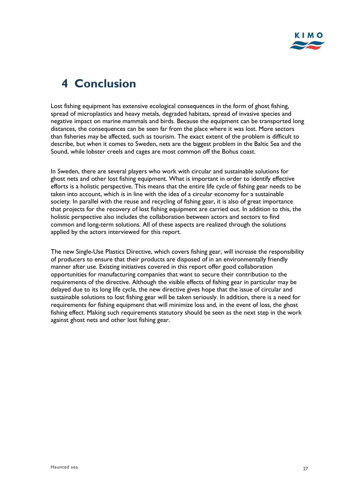# <span id="page-27-0"></span>**4 Conclusion**

Lost fishing equipment has extensive ecological consequences in the form of ghost fishing, spread of microplastics and heavy metals, degraded habitats, spread of invasive species and negative impact on marine mammals and birds. Because the equipment can be transported long distances, the consequences can be seen far from the place where it was lost. More sectors than fisheries may be affected, such as tourism. The exact extent of the problem is difficult to describe, but when it comes to Sweden, nets are the biggest problem in the Baltic Sea and the Sound, while lobster creels and cages are most common off the Bohus coast.

In Sweden, there are several players who work with circular and sustainable solutions for ghost nets and other lost fishing equipment. What is important in order to identify effective efforts is a holistic perspective. This means that the entire life cycle of fishing gear needs to be taken into account, which is in line with the idea of a circular economy for a sustainable society. In parallel with the reuse and recycling of fishing gear, it is also of great importance that projects for the recovery of lost fishing equipment are carried out. In addition to this, the holistic perspective also includes the collaboration between actors and sectors to find common and long-term solutions. All of these aspects are realized through the solutions applied by the actors interviewed for this report.

The new Single-Use Plastics Directive, which covers fishing gear, will increase the responsibility of producers to ensure that their products are disposed of in an environmentally friendly manner after use. Existing initiatives covered in this report offer good collaboration opportunities for manufacturing companies that want to secure their contribution to the requirements of the directive. Although the visible effects of fishing gear in particular may be delayed due to its long life cycle, the new directive gives hope that the issue of circular and sustainable solutions to lost fishing gear will be taken seriously. In addition, there is a need for requirements for fishing equipment that will minimize loss and, in the event of loss, the ghost fishing effect. Making such requirements statutory should be seen as the next step in the work against ghost nets and other lost fishing gear.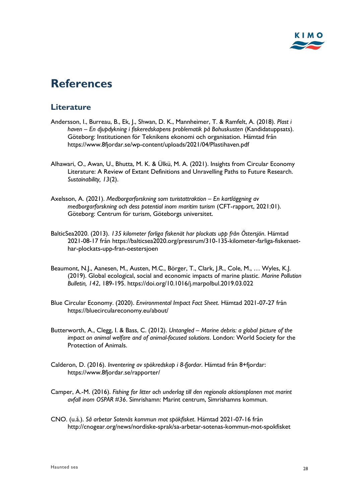

# <span id="page-28-0"></span>**References**

### **Literature**

- Andersson, I., Burreau, B., Ek, J., Shwan, D. K., Mannheimer, T. & Ramfelt, A. (2018). *Plast i haven – En djupdykning i fiskeredskapens problematik på Bohuskusten* (Kandidatuppsats). Göteborg: Institutionen för Teknikens ekonomi och organisation. Hämtad från https://www.8fjordar.se/wp-content/uploads/2021/04/Plastihaven.pdf
- Alhawari, O., Awan, U., Bhutta, M. K. & Ülkü, M. A. (2021). Insights from Circular Economy Literature: A Review of Extant Definitions and Unravelling Paths to Future Research. *Sustainability, 13*(2).
- Axelsson, A. (2021). *Medborgarforskning som turistattraktion – En kartläggning av medborgarforskning och dess potential inom maritim turism* (CFT-rapport, 2021:01). Göteborg: Centrum för turism, Göteborgs universitet.
- BalticSea2020. (2013). *135 kilometer farliga fiskenät har plockats upp från Östersjön*. Hämtad 2021-08-17 från https://balticsea2020.org/pressrum/310-135-kilometer-farliga-fiskenaethar-plockats-upp-fran-oestersjoen
- Beaumont, N.J., Aanesen, M., Austen, M.C., Börger, T., Clark, J.R., Cole, M., … Wyles, K.J. (2019). Global ecological, social and economic impacts of marine plastic. *Marine Pollution Bulletin, 142*, 189-195.<https://doi.org/10.1016/j.marpolbul.2019.03.022>
- Blue Circular Economy. (2020). *Environmental Impact Fact Sheet*. Hämtad 2021-07-27 från https://bluecirculareconomy.eu/about/
- Butterworth, A., Clegg, I. & Bass, C. (2012). *Untangled – Marine debris: a global picture of the impact on animal welfare and of animal-focused solutions*. London: World Society for the Protection of Animals.
- Calderon, D. (2016). *Inventering av spökredskap i 8-fjordar*. Hämtad från 8+fjordar: <https://www.8fjordar.se/rapporter/>
- Camper, A.-M. (2016). *Fishing for litter och underlag till den regionala aktionsplanen mot marint avfall inom OSPAR #36*. Simrishamn: Marint centrum, Simrishamns kommun.
- CNO. (u.å.). *Så arbetar Sotenäs kommun mot spökfisket*. Hämtad 2021-07-16 från <http://cnogear.org/news/nordiske-sprak/sa-arbetar-sotenas-kommun-mot-spokfisket>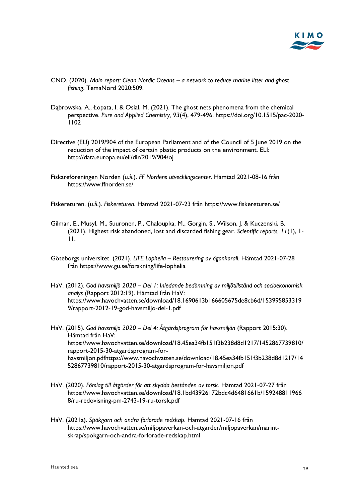

- CNO. (2020). *Main report: Clean Nordic Oceans – a network to reduce marine litter and ghost fishing*. TemaNord 2020:509.
- Dąbrowska, A., Łopata, I. & Osial, M. (2021). The ghost nets phenomena from the chemical perspective. *Pure and Applied Chemistry, 93*(4), 479-496. https://doi.org/10.1515/pac-2020- 1102
- Directive (EU) 2019/904 of the European Parliament and of the Council of 5 June 2019 on the reduction of the impact of certain plastic products on the environment. ELI: <http://data.europa.eu/eli/dir/2019/904/oj>
- Fiskareföreningen Norden (u.å.). *FF Nordens utvecklingscenter*. Hämtad 2021-08-16 från https://www.ffnorden.se/

Fiskereturen. (u.å.). *Fiskereturen*. Hämtad 2021-07-23 från https://www.fiskereturen.se/

- Gilman, E., Musyl, M., Suuronen, P., Chaloupka, M., Gorgin, S., Wilson, J. & Kuczenski, B. (2021). Highest risk abandoned, lost and discarded fishing gear. *Scientific reports, 11*(1), 1- 11.
- Göteborgs universitet. (2021). *LIFE Lophelia – Restaurering av ögonkorall*. Hämtad 2021-07-28 från https://www.gu.se/forskning/life-lophelia
- HaV. (2012). *God havsmiljö 2020 – Del 1: Inledande bedömning av miljötillstånd och socioekonomisk analys* (Rapport 2012:19). Hämtad från HaV: https://www.havochvatten.se/download/18.1690613b166605675de8cb6d/153995853319 9/rapport-2012-19-god-havsmiljo-del-1.pdf
- HaV. (2015). *God havsmiljö 2020 – Del 4: Åtgärdsprogram för havsmiljön* (Rapport 2015:30). Hämtad från HaV: [https://www.havochvatten.se/download/18.45ea34fb151f3b238d8d1217/1452867739810/](https://www.havochvatten.se/download/18.45ea34fb151f3b238d8d1217/1452867739810/rapport-2015-30-atgardsprogram-for-havsmiljon.pdfhttps:/www.havochvatten.se/download/18.45ea34fb151f3b238d8d1217/1452867739810/rapport-2015-30-atgardsprogram-for-havsmiljon.pdf) [rapport-2015-30-atgardsprogram-for](https://www.havochvatten.se/download/18.45ea34fb151f3b238d8d1217/1452867739810/rapport-2015-30-atgardsprogram-for-havsmiljon.pdfhttps:/www.havochvatten.se/download/18.45ea34fb151f3b238d8d1217/1452867739810/rapport-2015-30-atgardsprogram-for-havsmiljon.pdf)[havsmiljon.pdfhttps://www.havochvatten.se/download/18.45ea34fb151f3b238d8d1217/14](https://www.havochvatten.se/download/18.45ea34fb151f3b238d8d1217/1452867739810/rapport-2015-30-atgardsprogram-for-havsmiljon.pdfhttps:/www.havochvatten.se/download/18.45ea34fb151f3b238d8d1217/1452867739810/rapport-2015-30-atgardsprogram-for-havsmiljon.pdf) [52867739810/rapport-2015-30-atgardsprogram-for-havsmiljon.pdf](https://www.havochvatten.se/download/18.45ea34fb151f3b238d8d1217/1452867739810/rapport-2015-30-atgardsprogram-for-havsmiljon.pdfhttps:/www.havochvatten.se/download/18.45ea34fb151f3b238d8d1217/1452867739810/rapport-2015-30-atgardsprogram-for-havsmiljon.pdf)
- HaV. (2020). *Förslag till åtgärder för att skydda bestånden av torsk*. Hämtad 2021-07-27 från https://www.havochvatten.se/download/18.1bd43926172bdc4d6481661b/159248811966 8/ru-redovisning-pm-2743-19-ru-torsk.pdf
- HaV. (2021a). *Spökgarn och andra förlorade redskap*. Hämtad 2021-07-16 från https://www.havochvatten.se/miljopaverkan-och-atgarder/miljopaverkan/marintskrap/spokgarn-och-andra-forlorade-redskap.html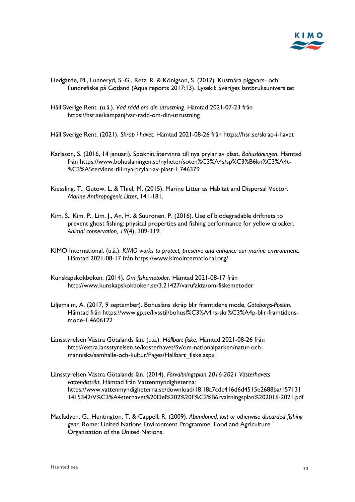

- Hedgärde, M., Lunneryd, S.-G., Retz, R. & Königson, S. (2017). Kustnära piggvars- och flundrefiske på Gotland (Aqua reports 2017:13). Lysekil: Sveriges lantbruksuniversitet
- Håll Sverige Rent. (u.å.). *Vad rädd om din utrustning*. Hämtad 2021-07-23 från https://hsr.se/kampanj/var-radd-om-din-utrustning
- Håll Sverige Rent. (2021). *Skräp i havet*. Hämtad 2021-08-26 från https://hsr.se/skrap-i-havet
- Karlsson, S. (2016, 14 januari). Spöknät återvinns till nya prylar av plast. *Bohusläningen*. Hämtad från https://www.bohuslaningen.se/nyheter/soten%C3%A4s/sp%C3%B6kn%C3%A4t- %C3%A5tervinns-till-nya-prylar-av-plast-1.746379
- Kiessling, T., Gutow, L. & Thiel, M. (2015). Marine Litter as Habitat and Dispersal Vector. *Marine Anthropogenic Litter*, 141-181.
- Kim, S., Kim, P., Lim, J., An, H. & Suuronen, P. (2016). Use of biodegradable driftnets to prevent ghost fishing: physical properties and fishing performance for yellow croaker. *Animal conservation, 19*(4), 309-319.
- KIMO International. (u.å.). *KIMO works to protect, preserve and enhance our marine environment*. Hämtad 2021-08-17 från https://www.kimointernational.org/
- Kunskapskokboken. (2014). *Om fiskemetoder*. Hämtad 2021-08-17 från http://www.kunskapskokboken.se/3.21427/varufakta/om-fiskemetoder
- Liljemalm, A. (2017, 9 september). Bohusläns skräp blir framtidens mode. *Göteborgs-Posten*. Hämtad från https://www.gp.se/livsstil/bohusl%C3%A4ns-skr%C3%A4p-blir-framtidensmode-1.4606122
- Länsstyrelsen Västra Götalands län. (u.å.). *Hållbart fiske*. Hämtad 2021-08-26 från http://extra.lansstyrelsen.se/kosterhavet/Sv/om-nationalparken/natur-ochmanniska/samhalle-och-kultur/Pages/Hallbart\_fiske.aspx
- Länsstyrelsen Västra Götalands län. (2014). *Förvaltningsplan 2016-2021 Västerhavets vattendistrikt*. Hämtad från Vattenmyndigheterna: [https://www.vattenmyndigheterna.se/download/18.18a7cdc416d6d4515e2688ba/157131](https://www.vattenmyndigheterna.se/download/18.18a7cdc416d6d4515e2688ba/1571311415342/V%C3%A4sterhavet%20Del%202%20F%C3%B6rvaltningsplan%202016-2021.pdf) [1415342/V%C3%A4sterhavet%20Del%202%20F%C3%B6rvaltningsplan%202016-2021.pdf](https://www.vattenmyndigheterna.se/download/18.18a7cdc416d6d4515e2688ba/1571311415342/V%C3%A4sterhavet%20Del%202%20F%C3%B6rvaltningsplan%202016-2021.pdf)
- Macfadyen, G., Huntington, T. & Cappell, R. (2009). *Abandoned, lost or otherwise discarded fishing gear*. Rome: United Nations Environment Programme, Food and Agriculture Organization of the United Nations.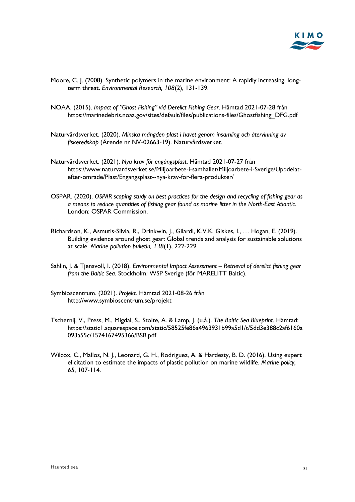

- Moore, C. J. (2008). Synthetic polymers in the marine environment: A rapidly increasing, longterm threat. *Environmental Research, 108*(2), 131-139.
- NOAA. (2015). *Impact of "Ghost Fishing" vid Derelict Fishing Gear*. Hämtad 2021-07-28 från https://marinedebris.noaa.gov/sites/default/files/publications-files/Ghostfishing\_DFG.pdf
- Naturvårdsverket. (2020). *Minska mängden plast i havet genom insamling och återvinning av fiskeredskap* (Ärende nr NV-02663-19). Naturvårdsverket.
- Naturvårdsverket. (2021). *Nya krav för engångsplast*. Hämtad 2021-07-27 från https://www.naturvardsverket.se/Miljoarbete-i-samhallet/Miljoarbete-i-Sverige/Uppdelatefter-omrade/Plast/Engangsplast--nya-krav-for-flera-produkter/
- OSPAR. (2020). *OSPAR scoping study on best practices for the design and recycling of fishing gear as a means to reduce quantities of fishing gear found as marine litter in the North-East Atlantic*. London: OSPAR Commission.
- Richardson, K., Asmutis-Silvia, R., Drinkwin, J., Gilardi, K.V.K, Giskes, I., … Hogan, E. (2019). Building evidence around ghost gear: Global trends and analysis for sustainable solutions at scale. *Marine pollution bulletin, 138*(1), 222-229.
- Sahlin, J. & Tjensvoll, I. (2018). *Environmental Impact Assessment – Retrieval of derelict fishing gear from the Baltic Sea*. Stockholm: WSP Sverige (för MARELITT Baltic).
- Symbioscentrum. (2021). *Projekt*. Hämtad 2021-08-26 från http://www.symbioscentrum.se/projekt
- Tschernij, V., Press, M., Migdal, S., Stolte, A. & Lamp, J. (u.å.). *The Baltic Sea Blueprint*. Hämtad: https://static1.squarespace.com/static/58525fe86a4963931b99a5d1/t/5dd3e388c2af6160a 093a55c/1574167495366/BSB.pdf
- Wilcox, C., Mallos, N. J., Leonard, G. H., Rodriguez, A. & Hardesty, B. D. (2016). Using expert elicitation to estimate the impacts of plastic pollution on marine wildlife. *Marine policy, 65*, 107-114.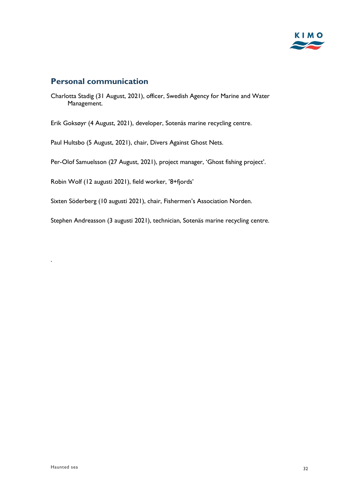

### **Personal communication**

Charlotta Stadig (31 August, 2021), officer, Swedish Agency for Marine and Water Management.

Erik Goksøyr (4 August, 2021), developer, Sotenäs marine recycling centre.

Paul Hultsbo (5 August, 2021), chair, Divers Against Ghost Nets.

Per-Olof Samuelsson (27 August, 2021), project manager, 'Ghost fishing project'.

Robin Wolf (12 augusti 2021), field worker, '8+fjords'

Sixten Söderberg (10 augusti 2021), chair, Fishermen's Association Norden.

Stephen Andreasson (3 augusti 2021), technician, Sotenäs marine recycling centre.

.